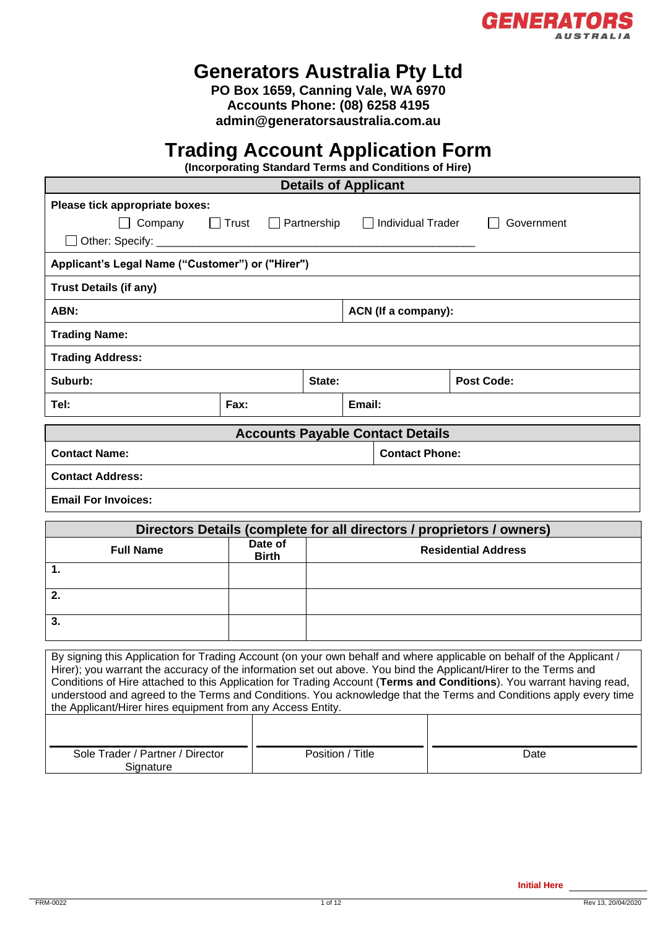

# **Generators Australia Pty Ltd**

**PO Box 1659, Canning Vale, WA 6970 Accounts Phone: (08) 6258 4195 [admin@generatorsaustralia.com.au](mailto:admin@generatorsaustralia.com.au)**

# **Trading Account Application Form**

**(Incorporating Standard Terms and Conditions of Hire)**

| <b>Details of Applicant</b>                                                                                                                                                                                                                                                                                                                                                                                                                                                                                                                           |              |                    |                            |  |                   |  |  |
|-------------------------------------------------------------------------------------------------------------------------------------------------------------------------------------------------------------------------------------------------------------------------------------------------------------------------------------------------------------------------------------------------------------------------------------------------------------------------------------------------------------------------------------------------------|--------------|--------------------|----------------------------|--|-------------------|--|--|
| Please tick appropriate boxes:                                                                                                                                                                                                                                                                                                                                                                                                                                                                                                                        |              |                    |                            |  |                   |  |  |
| $\Box$ Company<br>$\Box$                                                                                                                                                                                                                                                                                                                                                                                                                                                                                                                              | Trust        | $\Box$ Partnership | $\Box$ Individual Trader   |  | Government        |  |  |
| Other: Specify:                                                                                                                                                                                                                                                                                                                                                                                                                                                                                                                                       |              |                    |                            |  |                   |  |  |
| Applicant's Legal Name ("Customer") or ("Hirer")                                                                                                                                                                                                                                                                                                                                                                                                                                                                                                      |              |                    |                            |  |                   |  |  |
| <b>Trust Details (if any)</b>                                                                                                                                                                                                                                                                                                                                                                                                                                                                                                                         |              |                    |                            |  |                   |  |  |
| ABN:                                                                                                                                                                                                                                                                                                                                                                                                                                                                                                                                                  |              |                    | ACN (If a company):        |  |                   |  |  |
| <b>Trading Name:</b>                                                                                                                                                                                                                                                                                                                                                                                                                                                                                                                                  |              |                    |                            |  |                   |  |  |
| <b>Trading Address:</b>                                                                                                                                                                                                                                                                                                                                                                                                                                                                                                                               |              |                    |                            |  |                   |  |  |
| Suburb:                                                                                                                                                                                                                                                                                                                                                                                                                                                                                                                                               | State:       |                    |                            |  | <b>Post Code:</b> |  |  |
| Tel:                                                                                                                                                                                                                                                                                                                                                                                                                                                                                                                                                  | Fax:         |                    | Email:                     |  |                   |  |  |
| <b>Accounts Payable Contact Details</b>                                                                                                                                                                                                                                                                                                                                                                                                                                                                                                               |              |                    |                            |  |                   |  |  |
| <b>Contact Phone:</b><br><b>Contact Name:</b>                                                                                                                                                                                                                                                                                                                                                                                                                                                                                                         |              |                    |                            |  |                   |  |  |
| <b>Contact Address:</b>                                                                                                                                                                                                                                                                                                                                                                                                                                                                                                                               |              |                    |                            |  |                   |  |  |
| <b>Email For Invoices:</b>                                                                                                                                                                                                                                                                                                                                                                                                                                                                                                                            |              |                    |                            |  |                   |  |  |
|                                                                                                                                                                                                                                                                                                                                                                                                                                                                                                                                                       |              |                    |                            |  |                   |  |  |
| Directors Details (complete for all directors / proprietors / owners)<br>Date of                                                                                                                                                                                                                                                                                                                                                                                                                                                                      |              |                    |                            |  |                   |  |  |
| <b>Full Name</b>                                                                                                                                                                                                                                                                                                                                                                                                                                                                                                                                      | <b>Birth</b> |                    | <b>Residential Address</b> |  |                   |  |  |
| 1.                                                                                                                                                                                                                                                                                                                                                                                                                                                                                                                                                    |              |                    |                            |  |                   |  |  |
| 2.                                                                                                                                                                                                                                                                                                                                                                                                                                                                                                                                                    |              |                    |                            |  |                   |  |  |
| 3.                                                                                                                                                                                                                                                                                                                                                                                                                                                                                                                                                    |              |                    |                            |  |                   |  |  |
| By signing this Application for Trading Account (on your own behalf and where applicable on behalf of the Applicant /<br>Hirer); you warrant the accuracy of the information set out above. You bind the Applicant/Hirer to the Terms and<br>Conditions of Hire attached to this Application for Trading Account (Terms and Conditions). You warrant having read,<br>understood and agreed to the Terms and Conditions. You acknowledge that the Terms and Conditions apply every time<br>the Applicant/Hirer hires equipment from any Access Entity. |              |                    |                            |  |                   |  |  |

| Sole Trader / Partner / Director | Position /<br>' Title | Date |
|----------------------------------|-----------------------|------|
| Signature                        |                       |      |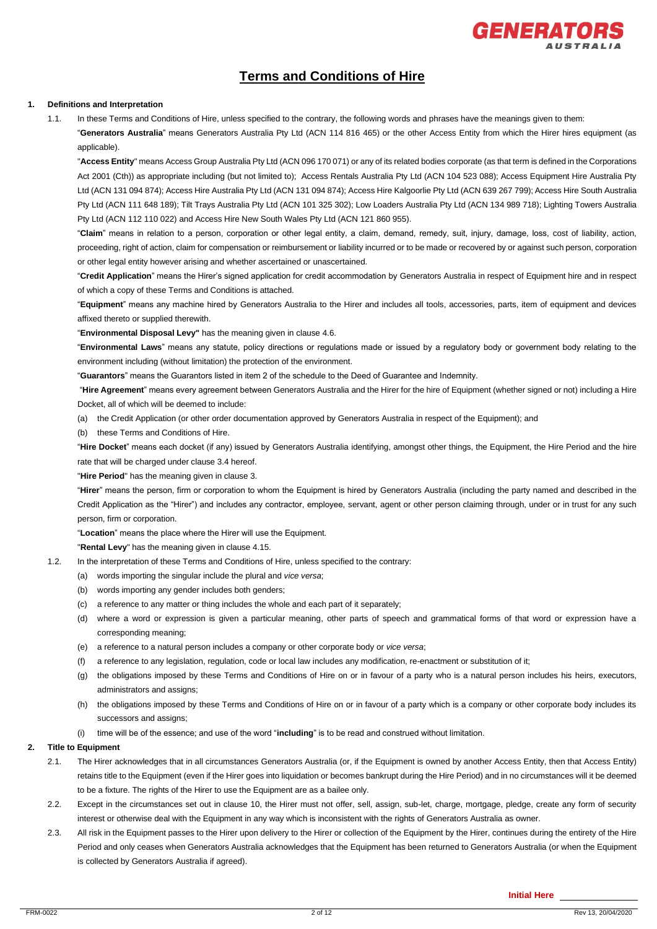

# **Terms and Conditions of Hire**

#### **1. Definitions and Interpretation**

1.1. In these Terms and Conditions of Hire, unless specified to the contrary, the following words and phrases have the meanings given to them: "**Generators Australia**" means Generators Australia Pty Ltd (ACN 114 816 465) or the other Access Entity from which the Hirer hires equipment (as applicable).

"**Access Entity**" means Access Group Australia Pty Ltd (ACN 096 170 071) or any of its related bodies corporate (as that term is defined in the Corporations Act 2001 (Cth)) as appropriate including (but not limited to); Access Rentals Australia Pty Ltd (ACN 104 523 088); Access Equipment Hire Australia Pty Ltd (ACN 131 094 874); Access Hire Australia Pty Ltd (ACN 131 094 874); Access Hire Kalgoorlie Pty Ltd (ACN 639 267 799); Access Hire South Australia Pty Ltd (ACN 111 648 189); Tilt Trays Australia Pty Ltd (ACN 101 325 302); Low Loaders Australia Pty Ltd (ACN 134 989 718); Lighting Towers Australia Pty Ltd (ACN 112 110 022) and Access Hire New South Wales Pty Ltd (ACN 121 860 955).

"**Claim**" means in relation to a person, corporation or other legal entity, a claim, demand, remedy, suit, injury, damage, loss, cost of liability, action, proceeding, right of action, claim for compensation or reimbursement or liability incurred or to be made or recovered by or against such person, corporation or other legal entity however arising and whether ascertained or unascertained.

"**Credit Application**" means the Hirer's signed application for credit accommodation by Generators Australia in respect of Equipment hire and in respect of which a copy of these Terms and Conditions is attached.

"**Equipment**" means any machine hired by Generators Australia to the Hirer and includes all tools, accessories, parts, item of equipment and devices affixed thereto or supplied therewith.

"**Environmental Disposal Levy"** has the meaning given in claus[e 4.6.](#page-2-0)

"**Environmental Laws**" means any statute, policy directions or regulations made or issued by a regulatory body or government body relating to the environment including (without limitation) the protection of the environment.

"**Guarantors**" means the Guarantors listed in item 2 of the schedule to the Deed of Guarantee and Indemnity.

"**Hire Agreement**" means every agreement between Generators Australia and the Hirer for the hire of Equipment (whether signed or not) including a Hire Docket, all of which will be deemed to include:

(a) the Credit Application (or other order documentation approved by Generators Australia in respect of the Equipment); and

(b) these Terms and Conditions of Hire.

"**Hire Docket**" means each docket (if any) issued by Generators Australia identifying, amongst other things, the Equipment, the Hire Period and the hire rate that will be charged under clause 3.4 hereof.

"**Hire Period**" has the meaning given in clause 3.

"**Hirer**" means the person, firm or corporation to whom the Equipment is hired by Generators Australia (including the party named and described in the Credit Application as the "Hirer") and includes any contractor, employee, servant, agent or other person claiming through, under or in trust for any such person, firm or corporation.

"**Location**" means the place where the Hirer will use the Equipment.

"**Rental Levy**" has the meaning given in claus[e 4.15.](#page-3-0)

- 1.2. In the interpretation of these Terms and Conditions of Hire, unless specified to the contrary:
	- (a) words importing the singular include the plural and *vice versa*;
	- (b) words importing any gender includes both genders;
	- (c) a reference to any matter or thing includes the whole and each part of it separately;
	- (d) where a word or expression is given a particular meaning, other parts of speech and grammatical forms of that word or expression have a corresponding meaning;
	- (e) a reference to a natural person includes a company or other corporate body or *vice versa*;
	- (f) a reference to any legislation, regulation, code or local law includes any modification, re-enactment or substitution of it;
	- (g) the obligations imposed by these Terms and Conditions of Hire on or in favour of a party who is a natural person includes his heirs, executors, administrators and assigns;
	- (h) the obligations imposed by these Terms and Conditions of Hire on or in favour of a party which is a company or other corporate body includes its successors and assigns:
	- (i) time will be of the essence; and use of the word "**including**" is to be read and construed without limitation.

#### **2. Title to Equipment**

- 2.1. The Hirer acknowledges that in all circumstances Generators Australia (or, if the Equipment is owned by another Access Entity, then that Access Entity) retains title to the Equipment (even if the Hirer goes into liquidation or becomes bankrupt during the Hire Period) and in no circumstances will it be deemed to be a fixture. The rights of the Hirer to use the Equipment are as a bailee only.
- 2.2. Except in the circumstances set out in clause 10, the Hirer must not offer, sell, assign, sub-let, charge, mortgage, pledge, create any form of security interest or otherwise deal with the Equipment in any way which is inconsistent with the rights of Generators Australia as owner.
- 2.3. All risk in the Equipment passes to the Hirer upon delivery to the Hirer or collection of the Equipment by the Hirer, continues during the entirety of the Hire Period and only ceases when Generators Australia acknowledges that the Equipment has been returned to Generators Australia (or when the Equipment is collected by Generators Australia if agreed).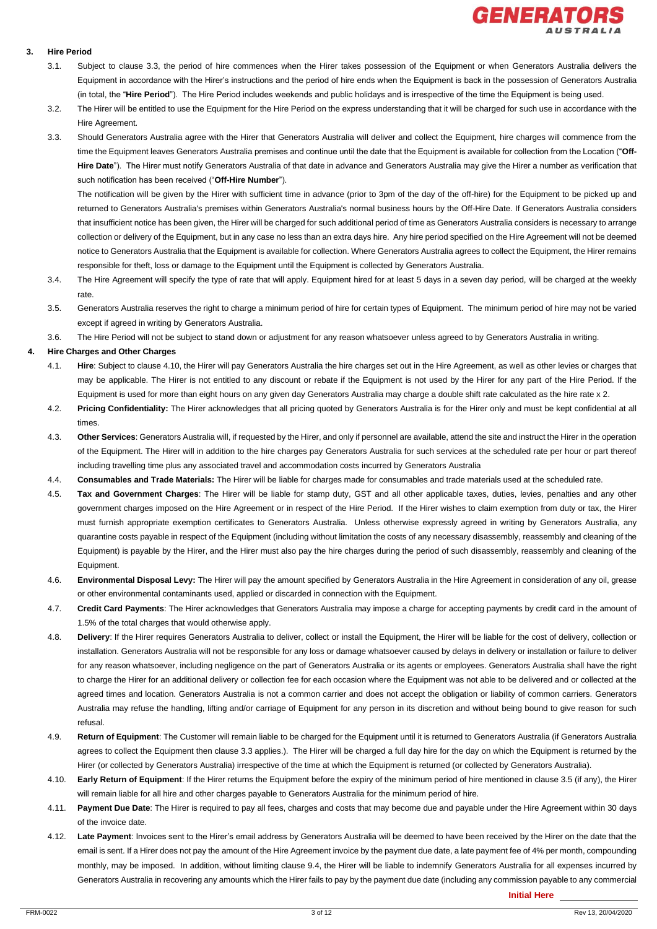

#### **3. Hire Period**

- 3.1. Subject to clause 3.3, the period of hire commences when the Hirer takes possession of the Equipment or when Generators Australia delivers the Equipment in accordance with the Hirer's instructions and the period of hire ends when the Equipment is back in the possession of Generators Australia (in total, the "**Hire Period**"). The Hire Period includes weekends and public holidays and is irrespective of the time the Equipment is being used.
- 3.2. The Hirer will be entitled to use the Equipment for the Hire Period on the express understanding that it will be charged for such use in accordance with the Hire Agreement.
- 3.3. Should Generators Australia agree with the Hirer that Generators Australia will deliver and collect the Equipment, hire charges will commence from the time the Equipment leaves Generators Australia premises and continue until the date that the Equipment is available for collection from the Location ("**Off-Hire Date**"). The Hirer must notify Generators Australia of that date in advance and Generators Australia may give the Hirer a number as verification that such notification has been received ("**Off-Hire Number**").

The notification will be given by the Hirer with sufficient time in advance (prior to 3pm of the day of the off-hire) for the Equipment to be picked up and returned to Generators Australia's premises within Generators Australia's normal business hours by the Off-Hire Date. If Generators Australia considers that insufficient notice has been given, the Hirer will be charged for such additional period of time as Generators Australia considers is necessary to arrange collection or delivery of the Equipment, but in any case no less than an extra days hire. Any hire period specified on the Hire Agreement will not be deemed notice to Generators Australia that the Equipment is available for collection. Where Generators Australia agrees to collect the Equipment, the Hirer remains responsible for theft, loss or damage to the Equipment until the Equipment is collected by Generators Australia.

- 3.4. The Hire Agreement will specify the type of rate that will apply. Equipment hired for at least 5 days in a seven day period, will be charged at the weekly rate.
- 3.5. Generators Australia reserves the right to charge a minimum period of hire for certain types of Equipment. The minimum period of hire may not be varied except if agreed in writing by Generators Australia.
- 3.6. The Hire Period will not be subject to stand down or adjustment for any reason whatsoever unless agreed to by Generators Australia in writing.

#### **4. Hire Charges and Other Charges**

- 4.1. **Hire**: Subject to clause 4.10, the Hirer will pay Generators Australia the hire charges set out in the Hire Agreement, as well as other levies or charges that may be applicable. The Hirer is not entitled to any discount or rebate if the Equipment is not used by the Hirer for any part of the Hire Period. If the Equipment is used for more than eight hours on any given day Generators Australia may charge a double shift rate calculated as the hire rate x 2.
- 4.2. **Pricing Confidentiality:** The Hirer acknowledges that all pricing quoted by Generators Australia is for the Hirer only and must be kept confidential at all times.
- 4.3. **Other Services**: Generators Australia will, if requested by the Hirer, and only if personnel are available, attend the site and instruct the Hirer in the operation of the Equipment. The Hirer will in addition to the hire charges pay Generators Australia for such services at the scheduled rate per hour or part thereof including travelling time plus any associated travel and accommodation costs incurred by Generators Australia
- 4.4. **Consumables and Trade Materials:** The Hirer will be liable for charges made for consumables and trade materials used at the scheduled rate.
- 4.5. **Tax and Government Charges**: The Hirer will be liable for stamp duty, GST and all other applicable taxes, duties, levies, penalties and any other government charges imposed on the Hire Agreement or in respect of the Hire Period. If the Hirer wishes to claim exemption from duty or tax, the Hirer must furnish appropriate exemption certificates to Generators Australia. Unless otherwise expressly agreed in writing by Generators Australia, any quarantine costs payable in respect of the Equipment (including without limitation the costs of any necessary disassembly, reassembly and cleaning of the Equipment) is payable by the Hirer, and the Hirer must also pay the hire charges during the period of such disassembly, reassembly and cleaning of the Equipment.
- <span id="page-2-0"></span>4.6. **Environmental Disposal Levy:** The Hirer will pay the amount specified by Generators Australia in the Hire Agreement in consideration of any oil, grease or other environmental contaminants used, applied or discarded in connection with the Equipment.
- 4.7. **Credit Card Payments**: The Hirer acknowledges that Generators Australia may impose a charge for accepting payments by credit card in the amount of 1.5% of the total charges that would otherwise apply.
- 4.8. **Delivery**: If the Hirer requires Generators Australia to deliver, collect or install the Equipment, the Hirer will be liable for the cost of delivery, collection or installation. Generators Australia will not be responsible for any loss or damage whatsoever caused by delays in delivery or installation or failure to deliver for any reason whatsoever, including negligence on the part of Generators Australia or its agents or employees. Generators Australia shall have the right to charge the Hirer for an additional delivery or collection fee for each occasion where the Equipment was not able to be delivered and or collected at the agreed times and location. Generators Australia is not a common carrier and does not accept the obligation or liability of common carriers. Generators Australia may refuse the handling, lifting and/or carriage of Equipment for any person in its discretion and without being bound to give reason for such refusal.
- 4.9. **Return of Equipment**: The Customer will remain liable to be charged for the Equipment until it is returned to Generators Australia (if Generators Australia agrees to collect the Equipment then clause 3.3 applies.). The Hirer will be charged a full day hire for the day on which the Equipment is returned by the Hirer (or collected by Generators Australia) irrespective of the time at which the Equipment is returned (or collected by Generators Australia).
- 4.10. **Early Return of Equipment**: If the Hirer returns the Equipment before the expiry of the minimum period of hire mentioned in clause 3.5 (if any), the Hirer will remain liable for all hire and other charges payable to Generators Australia for the minimum period of hire.
- 4.11. **Payment Due Date**: The Hirer is required to pay all fees, charges and costs that may become due and payable under the Hire Agreement within 30 days of the invoice date.
- 4.12. **Late Payment**: Invoices sent to the Hirer's email address by Generators Australia will be deemed to have been received by the Hirer on the date that the email is sent. If a Hirer does not pay the amount of the Hire Agreement invoice by the payment due date, a late payment fee of 4% per month, compounding monthly, may be imposed. In addition, without limiting clause 9.4, the Hirer will be liable to indemnify Generators Australia for all expenses incurred by Generators Australia in recovering any amounts which the Hirer fails to pay by the payment due date (including any commission payable to any commercial

**Initial Here**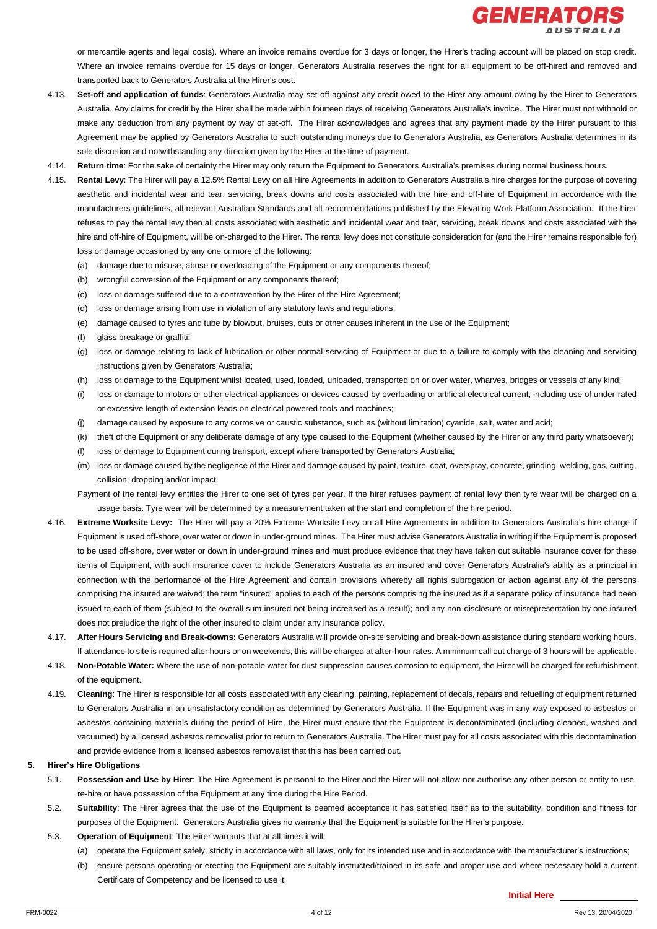

or mercantile agents and legal costs). Where an invoice remains overdue for 3 days or longer, the Hirer's trading account will be placed on stop credit. Where an invoice remains overdue for 15 days or longer, Generators Australia reserves the right for all equipment to be off-hired and removed and transported back to Generators Australia at the Hirer's cost.

- 4.13. **Set-off and application of funds**: Generators Australia may set-off against any credit owed to the Hirer any amount owing by the Hirer to Generators Australia. Any claims for credit by the Hirer shall be made within fourteen days of receiving Generators Australia's invoice. The Hirer must not withhold or make any deduction from any payment by way of set-off. The Hirer acknowledges and agrees that any payment made by the Hirer pursuant to this Agreement may be applied by Generators Australia to such outstanding moneys due to Generators Australia, as Generators Australia determines in its sole discretion and notwithstanding any direction given by the Hirer at the time of payment.
- 4.14. **Return time**: For the sake of certainty the Hirer may only return the Equipment to Generators Australia's premises during normal business hours.
- <span id="page-3-0"></span>4.15. **Rental Levy**: The Hirer will pay a 12.5% Rental Levy on all Hire Agreements in addition to Generators Australia's hire charges for the purpose of covering aesthetic and incidental wear and tear, servicing, break downs and costs associated with the hire and off-hire of Equipment in accordance with the manufacturers guidelines, all relevant Australian Standards and all recommendations published by the Elevating Work Platform Association. If the hirer refuses to pay the rental levy then all costs associated with aesthetic and incidental wear and tear, servicing, break downs and costs associated with the hire and off-hire of Equipment, will be on-charged to the Hirer. The rental levy does not constitute consideration for (and the Hirer remains responsible for) loss or damage occasioned by any one or more of the following:
	- (a) damage due to misuse, abuse or overloading of the Equipment or any components thereof;
	- (b) wrongful conversion of the Equipment or any components thereof;
	- (c) loss or damage suffered due to a contravention by the Hirer of the Hire Agreement;
	- (d) loss or damage arising from use in violation of any statutory laws and regulations;
	- (e) damage caused to tyres and tube by blowout, bruises, cuts or other causes inherent in the use of the Equipment;
	- (f) glass breakage or graffiti;
	- (g) loss or damage relating to lack of lubrication or other normal servicing of Equipment or due to a failure to comply with the cleaning and servicing instructions given by Generators Australia;
	- (h) loss or damage to the Equipment whilst located, used, loaded, unloaded, transported on or over water, wharves, bridges or vessels of any kind;
	- (i) loss or damage to motors or other electrical appliances or devices caused by overloading or artificial electrical current, including use of under-rated or excessive length of extension leads on electrical powered tools and machines;
	- (j) damage caused by exposure to any corrosive or caustic substance, such as (without limitation) cyanide, salt, water and acid;
	- (k) theft of the Equipment or any deliberate damage of any type caused to the Equipment (whether caused by the Hirer or any third party whatsoever);
	- (l) loss or damage to Equipment during transport, except where transported by Generators Australia;
	- (m) loss or damage caused by the negligence of the Hirer and damage caused by paint, texture, coat, overspray, concrete, grinding, welding, gas, cutting, collision, dropping and/or impact.
	- Payment of the rental levy entitles the Hirer to one set of tyres per year. If the hirer refuses payment of rental levy then tyre wear will be charged on a usage basis. Tyre wear will be determined by a measurement taken at the start and completion of the hire period.
- 4.16. **Extreme Worksite Levy:** The Hirer will pay a 20% Extreme Worksite Levy on all Hire Agreements in addition to Generators Australia's hire charge if Equipment is used off-shore, over water or down in under-ground mines. The Hirer must advise Generators Australia in writing if the Equipment is proposed to be used off-shore, over water or down in under-ground mines and must produce evidence that they have taken out suitable insurance cover for these items of Equipment, with such insurance cover to include Generators Australia as an insured and cover Generators Australia's ability as a principal in connection with the performance of the Hire Agreement and contain provisions whereby all rights subrogation or action against any of the persons comprising the insured are waived; the term "insured" applies to each of the persons comprising the insured as if a separate policy of insurance had been issued to each of them (subject to the overall sum insured not being increased as a result); and any non-disclosure or misrepresentation by one insured does not prejudice the right of the other insured to claim under any insurance policy.
- 4.17. **After Hours Servicing and Break-downs:** Generators Australia will provide on-site servicing and break-down assistance during standard working hours. If attendance to site is required after hours or on weekends, this will be charged at after-hour rates. A minimum call out charge of 3 hours will be applicable.
- 4.18. **Non-Potable Water:** Where the use of non-potable water for dust suppression causes corrosion to equipment, the Hirer will be charged for refurbishment of the equipment.
- 4.19. **Cleaning**: The Hirer is responsible for all costs associated with any cleaning, painting, replacement of decals, repairs and refuelling of equipment returned to Generators Australia in an unsatisfactory condition as determined by Generators Australia. If the Equipment was in any way exposed to asbestos or asbestos containing materials during the period of Hire, the Hirer must ensure that the Equipment is decontaminated (including cleaned, washed and vacuumed) by a licensed asbestos removalist prior to return to Generators Australia. The Hirer must pay for all costs associated with this decontamination and provide evidence from a licensed asbestos removalist that this has been carried out.

#### **5. Hirer's Hire Obligations**

- 5.1. **Possession and Use by Hirer**: The Hire Agreement is personal to the Hirer and the Hirer will not allow nor authorise any other person or entity to use, re-hire or have possession of the Equipment at any time during the Hire Period.
- 5.2. **Suitability**: The Hirer agrees that the use of the Equipment is deemed acceptance it has satisfied itself as to the suitability, condition and fitness for purposes of the Equipment. Generators Australia gives no warranty that the Equipment is suitable for the Hirer's purpose.
- 5.3. **Operation of Equipment**: The Hirer warrants that at all times it will:
	- (a) operate the Equipment safely, strictly in accordance with all laws, only for its intended use and in accordance with the manufacturer's instructions;
	- (b) ensure persons operating or erecting the Equipment are suitably instructed/trained in its safe and proper use and where necessary hold a current Certificate of Competency and be licensed to use it;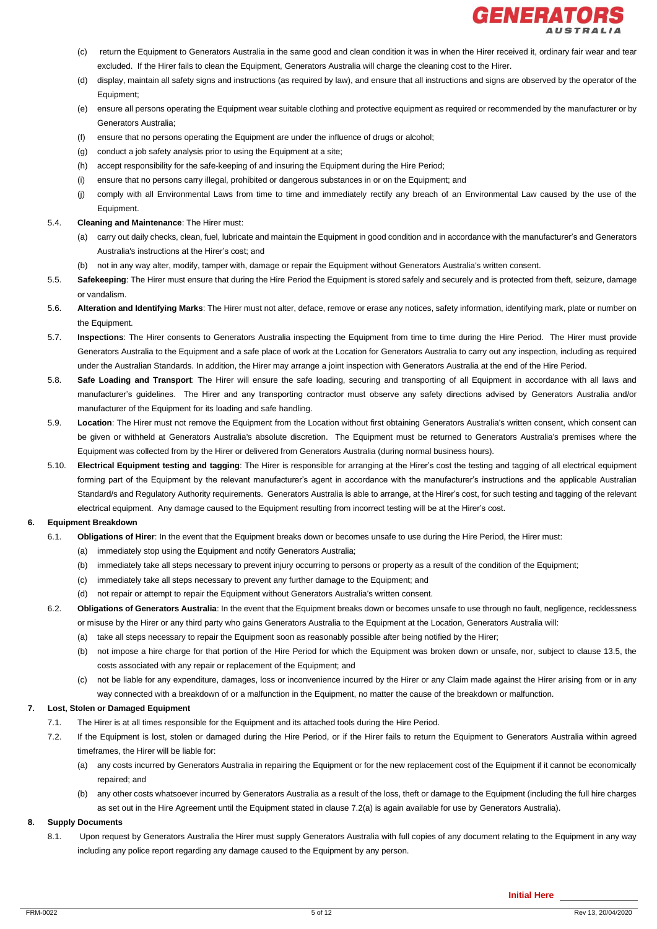

- (c) return the Equipment to Generators Australia in the same good and clean condition it was in when the Hirer received it, ordinary fair wear and tear excluded. If the Hirer fails to clean the Equipment, Generators Australia will charge the cleaning cost to the Hirer.
- (d) display, maintain all safety signs and instructions (as required by law), and ensure that all instructions and signs are observed by the operator of the Equipment;
- (e) ensure all persons operating the Equipment wear suitable clothing and protective equipment as required or recommended by the manufacturer or by Generators Australia;
- (f) ensure that no persons operating the Equipment are under the influence of drugs or alcohol;
- (g) conduct a job safety analysis prior to using the Equipment at a site;
- (h) accept responsibility for the safe-keeping of and insuring the Equipment during the Hire Period;
- (i) ensure that no persons carry illegal, prohibited or dangerous substances in or on the Equipment; and
- (j) comply with all Environmental Laws from time to time and immediately rectify any breach of an Environmental Law caused by the use of the Equipment.

#### 5.4. **Cleaning and Maintenance**: The Hirer must:

- (a) carry out daily checks, clean, fuel, lubricate and maintain the Equipment in good condition and in accordance with the manufacturer's and Generators Australia's instructions at the Hirer's cost; and
- (b) not in any way alter, modify, tamper with, damage or repair the Equipment without Generators Australia's written consent.
- 5.5. **Safekeeping**: The Hirer must ensure that during the Hire Period the Equipment is stored safely and securely and is protected from theft, seizure, damage or vandalism.
- 5.6. **Alteration and Identifying Marks**: The Hirer must not alter, deface, remove or erase any notices, safety information, identifying mark, plate or number on the Equipment.
- 5.7. **Inspections**: The Hirer consents to Generators Australia inspecting the Equipment from time to time during the Hire Period. The Hirer must provide Generators Australia to the Equipment and a safe place of work at the Location for Generators Australia to carry out any inspection, including as required under the Australian Standards. In addition, the Hirer may arrange a joint inspection with Generators Australia at the end of the Hire Period.
- 5.8. **Safe Loading and Transport**: The Hirer will ensure the safe loading, securing and transporting of all Equipment in accordance with all laws and manufacturer's guidelines. The Hirer and any transporting contractor must observe any safety directions advised by Generators Australia and/or manufacturer of the Equipment for its loading and safe handling.
- 5.9. **Location**: The Hirer must not remove the Equipment from the Location without first obtaining Generators Australia's written consent, which consent can be given or withheld at Generators Australia's absolute discretion. The Equipment must be returned to Generators Australia's premises where the Equipment was collected from by the Hirer or delivered from Generators Australia (during normal business hours).
- 5.10. **Electrical Equipment testing and tagging**: The Hirer is responsible for arranging at the Hirer's cost the testing and tagging of all electrical equipment forming part of the Equipment by the relevant manufacturer's agent in accordance with the manufacturer's instructions and the applicable Australian Standard/s and Regulatory Authority requirements. Generators Australia is able to arrange, at the Hirer's cost, for such testing and tagging of the relevant electrical equipment. Any damage caused to the Equipment resulting from incorrect testing will be at the Hirer's cost.

#### **6. Equipment Breakdown**

- 6.1. **Obligations of Hirer**: In the event that the Equipment breaks down or becomes unsafe to use during the Hire Period, the Hirer must:
	- (a) immediately stop using the Equipment and notify Generators Australia;
	- (b) immediately take all steps necessary to prevent injury occurring to persons or property as a result of the condition of the Equipment;
	- (c) immediately take all steps necessary to prevent any further damage to the Equipment; and
	- (d) not repair or attempt to repair the Equipment without Generators Australia's written consent.
- 6.2. **Obligations of Generators Australia**: In the event that the Equipment breaks down or becomes unsafe to use through no fault, negligence, recklessness or misuse by the Hirer or any third party who gains Generators Australia to the Equipment at the Location, Generators Australia will:
	- (a) take all steps necessary to repair the Equipment soon as reasonably possible after being notified by the Hirer;
	- (b) not impose a hire charge for that portion of the Hire Period for which the Equipment was broken down or unsafe, nor, subject to clause 13.5, the costs associated with any repair or replacement of the Equipment; and
	- (c) not be liable for any expenditure, damages, loss or inconvenience incurred by the Hirer or any Claim made against the Hirer arising from or in any way connected with a breakdown of or a malfunction in the Equipment, no matter the cause of the breakdown or malfunction.

#### **7. Lost, Stolen or Damaged Equipment**

- 7.1. The Hirer is at all times responsible for the Equipment and its attached tools during the Hire Period.
- 7.2. If the Equipment is lost, stolen or damaged during the Hire Period, or if the Hirer fails to return the Equipment to Generators Australia within agreed timeframes, the Hirer will be liable for:
	- (a) any costs incurred by Generators Australia in repairing the Equipment or for the new replacement cost of the Equipment if it cannot be economically repaired; and
	- (b) any other costs whatsoever incurred by Generators Australia as a result of the loss, theft or damage to the Equipment (including the full hire charges as set out in the Hire Agreement until the Equipment stated in clause 7.2(a) is again available for use by Generators Australia).

#### **8. Supply Documents**

8.1. Upon request by Generators Australia the Hirer must supply Generators Australia with full copies of any document relating to the Equipment in any way including any police report regarding any damage caused to the Equipment by any person.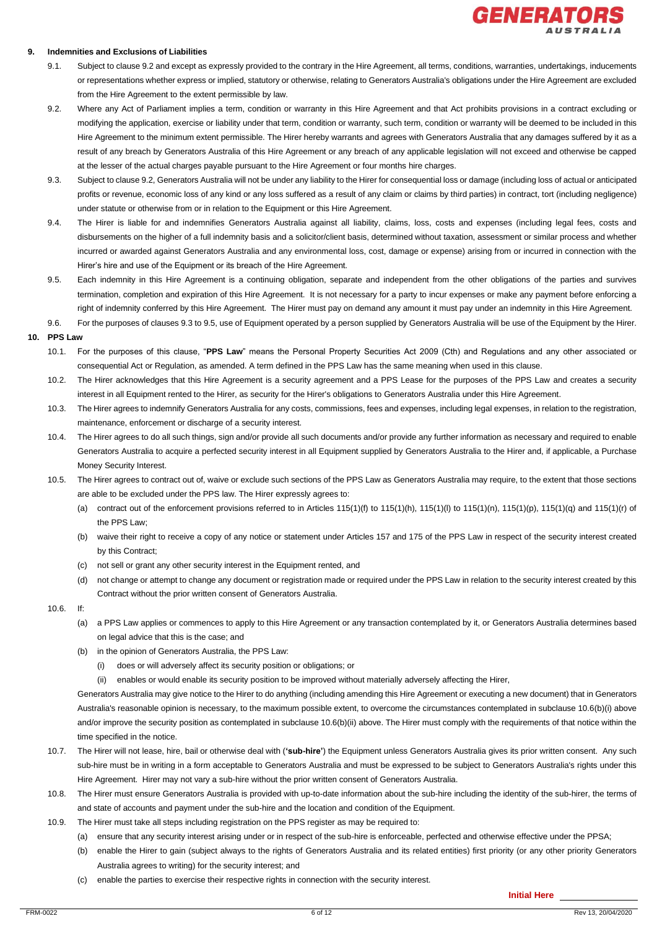

#### **9. Indemnities and Exclusions of Liabilities**

- 9.1. Subject to clause 9.2 and except as expressly provided to the contrary in the Hire Agreement, all terms, conditions, warranties, undertakings, inducements or representations whether express or implied, statutory or otherwise, relating to Generators Australia's obligations under the Hire Agreement are excluded from the Hire Agreement to the extent permissible by law.
- 9.2. Where any Act of Parliament implies a term, condition or warranty in this Hire Agreement and that Act prohibits provisions in a contract excluding or modifying the application, exercise or liability under that term, condition or warranty, such term, condition or warranty will be deemed to be included in this Hire Agreement to the minimum extent permissible. The Hirer hereby warrants and agrees with Generators Australia that any damages suffered by it as a result of any breach by Generators Australia of this Hire Agreement or any breach of any applicable legislation will not exceed and otherwise be capped at the lesser of the actual charges payable pursuant to the Hire Agreement or four months hire charges.
- 9.3. Subject to clause 9.2, Generators Australia will not be under any liability to the Hirer for consequential loss or damage (including loss of actual or anticipated profits or revenue, economic loss of any kind or any loss suffered as a result of any claim or claims by third parties) in contract, tort (including negligence) under statute or otherwise from or in relation to the Equipment or this Hire Agreement.
- 9.4. The Hirer is liable for and indemnifies Generators Australia against all liability, claims, loss, costs and expenses (including legal fees, costs and disbursements on the higher of a full indemnity basis and a solicitor/client basis, determined without taxation, assessment or similar process and whether incurred or awarded against Generators Australia and any environmental loss, cost, damage or expense) arising from or incurred in connection with the Hirer's hire and use of the Equipment or its breach of the Hire Agreement.
- 9.5. Each indemnity in this Hire Agreement is a continuing obligation, separate and independent from the other obligations of the parties and survives termination, completion and expiration of this Hire Agreement. It is not necessary for a party to incur expenses or make any payment before enforcing a right of indemnity conferred by this Hire Agreement. The Hirer must pay on demand any amount it must pay under an indemnity in this Hire Agreement.
- 9.6. For the purposes of clauses 9.3 to 9.5, use of Equipment operated by a person supplied by Generators Australia will be use of the Equipment by the Hirer.

#### **10. PPS Law**

- 10.1. For the purposes of this clause, "**PPS Law**" means the Personal Property Securities Act 2009 (Cth) and Regulations and any other associated or consequential Act or Regulation, as amended. A term defined in the PPS Law has the same meaning when used in this clause.
- 10.2. The Hirer acknowledges that this Hire Agreement is a security agreement and a PPS Lease for the purposes of the PPS Law and creates a security interest in all Equipment rented to the Hirer, as security for the Hirer's obligations to Generators Australia under this Hire Agreement.
- 10.3. The Hirer agrees to indemnify Generators Australia for any costs, commissions, fees and expenses, including legal expenses, in relation to the registration, maintenance, enforcement or discharge of a security interest.
- 10.4. The Hirer agrees to do all such things, sign and/or provide all such documents and/or provide any further information as necessary and required to enable Generators Australia to acquire a perfected security interest in all Equipment supplied by Generators Australia to the Hirer and, if applicable, a Purchase Money Security Interest.
- 10.5. The Hirer agrees to contract out of, waive or exclude such sections of the PPS Law as Generators Australia may require, to the extent that those sections are able to be excluded under the PPS law. The Hirer expressly agrees to:
	- (a) contract out of the enforcement provisions referred to in Articles 115(1)(f) to 115(1)(h), 115(1)(l) to 115(1)(n), 115(1)(p), 115(1)(q) and 115(1)(r) of the PPS Law;
	- (b) waive their right to receive a copy of any notice or statement under Articles 157 and 175 of the PPS Law in respect of the security interest created by this Contract;
	- (c) not sell or grant any other security interest in the Equipment rented, and
	- (d) not change or attempt to change any document or registration made or required under the PPS Law in relation to the security interest created by this Contract without the prior written consent of Generators Australia.
- 10.6. If:
	- (a) a PPS Law applies or commences to apply to this Hire Agreement or any transaction contemplated by it, or Generators Australia determines based on legal advice that this is the case; and
	- (b) in the opinion of Generators Australia, the PPS Law:
		- (i) does or will adversely affect its security position or obligations; or
		- (ii) enables or would enable its security position to be improved without materially adversely affecting the Hirer,

Generators Australia may give notice to the Hirer to do anything (including amending this Hire Agreement or executing a new document) that in Generators Australia's reasonable opinion is necessary, to the maximum possible extent, to overcome the circumstances contemplated in subclause 10.6(b)(i) above and/or improve the security position as contemplated in subclause 10.6(b)(ii) above. The Hirer must comply with the requirements of that notice within the time specified in the notice.

- 10.7. The Hirer will not lease, hire, bail or otherwise deal with (**'sub-hire'**) the Equipment unless Generators Australia gives its prior written consent. Any such sub-hire must be in writing in a form acceptable to Generators Australia and must be expressed to be subject to Generators Australia's rights under this Hire Agreement. Hirer may not vary a sub-hire without the prior written consent of Generators Australia.
- 10.8. The Hirer must ensure Generators Australia is provided with up-to-date information about the sub-hire including the identity of the sub-hirer, the terms of and state of accounts and payment under the sub-hire and the location and condition of the Equipment.
- 10.9. The Hirer must take all steps including registration on the PPS register as may be required to:
	- (a) ensure that any security interest arising under or in respect of the sub-hire is enforceable, perfected and otherwise effective under the PPSA;
	- (b) enable the Hirer to gain (subject always to the rights of Generators Australia and its related entities) first priority (or any other priority Generators Australia agrees to writing) for the security interest; and
	- (c) enable the parties to exercise their respective rights in connection with the security interest.

**Initial Here**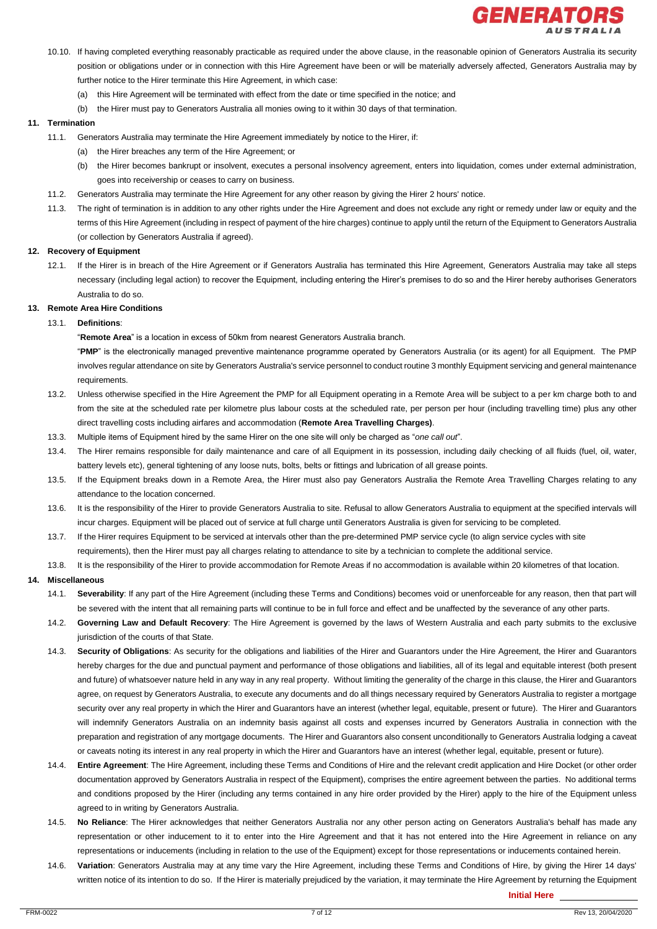

- 10.10. If having completed everything reasonably practicable as required under the above clause, in the reasonable opinion of Generators Australia its security position or obligations under or in connection with this Hire Agreement have been or will be materially adversely affected, Generators Australia may by further notice to the Hirer terminate this Hire Agreement, in which case:
	- (a) this Hire Agreement will be terminated with effect from the date or time specified in the notice; and
	- (b) the Hirer must pay to Generators Australia all monies owing to it within 30 days of that termination.

#### **11. Termination**

- 11.1. Generators Australia may terminate the Hire Agreement immediately by notice to the Hirer, if:
	- (a) the Hirer breaches any term of the Hire Agreement; or
	- (b) the Hirer becomes bankrupt or insolvent, executes a personal insolvency agreement, enters into liquidation, comes under external administration, goes into receivership or ceases to carry on business.
- 11.2. Generators Australia may terminate the Hire Agreement for any other reason by giving the Hirer 2 hours' notice.
- 11.3. The right of termination is in addition to any other rights under the Hire Agreement and does not exclude any right or remedy under law or equity and the terms of this Hire Agreement (including in respect of payment of the hire charges) continue to apply until the return of the Equipment to Generators Australia (or collection by Generators Australia if agreed).

#### **12. Recovery of Equipment**

12.1. If the Hirer is in breach of the Hire Agreement or if Generators Australia has terminated this Hire Agreement, Generators Australia may take all steps necessary (including legal action) to recover the Equipment, including entering the Hirer's premises to do so and the Hirer hereby authorises Generators Australia to do so.

#### **13. Remote Area Hire Conditions**

#### 13.1. **Definitions**:

"**Remote Area**" is a location in excess of 50km from nearest Generators Australia branch.

"**PMP**" is the electronically managed preventive maintenance programme operated by Generators Australia (or its agent) for all Equipment. The PMP involves regular attendance on site by Generators Australia's service personnel to conduct routine 3 monthly Equipment servicing and general maintenance requirements.

- 13.2. Unless otherwise specified in the Hire Agreement the PMP for all Equipment operating in a Remote Area will be subject to a per km charge both to and from the site at the scheduled rate per kilometre plus labour costs at the scheduled rate, per person per hour (including travelling time) plus any other direct travelling costs including airfares and accommodation (**Remote Area Travelling Charges)**.
- 13.3. Multiple items of Equipment hired by the same Hirer on the one site will only be charged as "*one call out*".
- 13.4. The Hirer remains responsible for daily maintenance and care of all Equipment in its possession, including daily checking of all fluids (fuel, oil, water, battery levels etc), general tightening of any loose nuts, bolts, belts or fittings and lubrication of all grease points.
- 13.5. If the Equipment breaks down in a Remote Area, the Hirer must also pay Generators Australia the Remote Area Travelling Charges relating to any attendance to the location concerned.
- 13.6. It is the responsibility of the Hirer to provide Generators Australia to site. Refusal to allow Generators Australia to equipment at the specified intervals will incur charges. Equipment will be placed out of service at full charge until Generators Australia is given for servicing to be completed.
- 13.7. If the Hirer requires Equipment to be serviced at intervals other than the pre-determined PMP service cycle (to align service cycles with site requirements), then the Hirer must pay all charges relating to attendance to site by a technician to complete the additional service.
- 13.8. It is the responsibility of the Hirer to provide accommodation for Remote Areas if no accommodation is available within 20 kilometres of that location.

#### **14. Miscellaneous**

- 14.1. **Severability**: If any part of the Hire Agreement (including these Terms and Conditions) becomes void or unenforceable for any reason, then that part will be severed with the intent that all remaining parts will continue to be in full force and effect and be unaffected by the severance of any other parts.
- 14.2. **Governing Law and Default Recovery**: The Hire Agreement is governed by the laws of Western Australia and each party submits to the exclusive jurisdiction of the courts of that State.
- 14.3. **Security of Obligations**: As security for the obligations and liabilities of the Hirer and Guarantors under the Hire Agreement, the Hirer and Guarantors hereby charges for the due and punctual payment and performance of those obligations and liabilities, all of its legal and equitable interest (both present and future) of whatsoever nature held in any way in any real property. Without limiting the generality of the charge in this clause, the Hirer and Guarantors agree, on request by Generators Australia, to execute any documents and do all things necessary required by Generators Australia to register a mortgage security over any real property in which the Hirer and Guarantors have an interest (whether legal, equitable, present or future). The Hirer and Guarantors will indemnify Generators Australia on an indemnity basis against all costs and expenses incurred by Generators Australia in connection with the preparation and registration of any mortgage documents. The Hirer and Guarantors also consent unconditionally to Generators Australia lodging a caveat or caveats noting its interest in any real property in which the Hirer and Guarantors have an interest (whether legal, equitable, present or future).
- 14.4. **Entire Agreement**: The Hire Agreement, including these Terms and Conditions of Hire and the relevant credit application and Hire Docket (or other order documentation approved by Generators Australia in respect of the Equipment), comprises the entire agreement between the parties. No additional terms and conditions proposed by the Hirer (including any terms contained in any hire order provided by the Hirer) apply to the hire of the Equipment unless agreed to in writing by Generators Australia.
- 14.5. **No Reliance**: The Hirer acknowledges that neither Generators Australia nor any other person acting on Generators Australia's behalf has made any representation or other inducement to it to enter into the Hire Agreement and that it has not entered into the Hire Agreement in reliance on any representations or inducements (including in relation to the use of the Equipment) except for those representations or inducements contained herein.
- 14.6. **Variation**: Generators Australia may at any time vary the Hire Agreement, including these Terms and Conditions of Hire, by giving the Hirer 14 days' written notice of its intention to do so. If the Hirer is materially prejudiced by the variation, it may terminate the Hire Agreement by returning the Equipment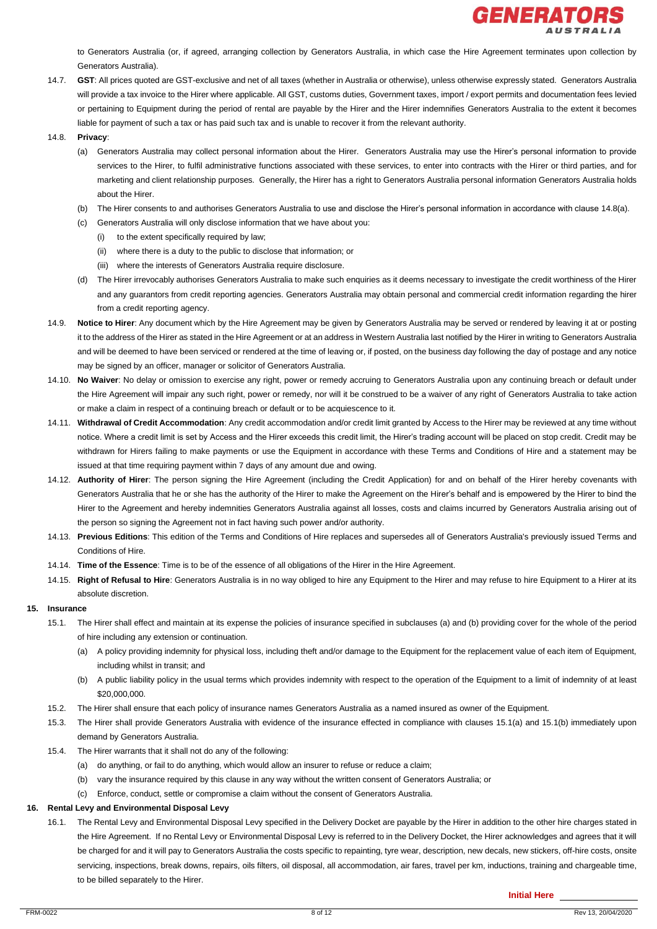

to Generators Australia (or, if agreed, arranging collection by Generators Australia, in which case the Hire Agreement terminates upon collection by Generators Australia).

- 14.7. **GST**: All prices quoted are GST-exclusive and net of all taxes (whether in Australia or otherwise), unless otherwise expressly stated. Generators Australia will provide a tax invoice to the Hirer where applicable. All GST, customs duties, Government taxes, import / export permits and documentation fees levied or pertaining to Equipment during the period of rental are payable by the Hirer and the Hirer indemnifies Generators Australia to the extent it becomes liable for payment of such a tax or has paid such tax and is unable to recover it from the relevant authority.
- 14.8. **Privacy**:
	- (a) Generators Australia may collect personal information about the Hirer. Generators Australia may use the Hirer's personal information to provide services to the Hirer, to fulfil administrative functions associated with these services, to enter into contracts with the Hirer or third parties, and for marketing and client relationship purposes. Generally, the Hirer has a right to Generators Australia personal information Generators Australia holds about the Hirer.
	- (b) The Hirer consents to and authorises Generators Australia to use and disclose the Hirer's personal information in accordance with clause 14.8(a).
	- (c) Generators Australia will only disclose information that we have about you:
		- (i) to the extent specifically required by law;
		- (ii) where there is a duty to the public to disclose that information; or
		- (iii) where the interests of Generators Australia require disclosure.
	- (d) The Hirer irrevocably authorises Generators Australia to make such enquiries as it deems necessary to investigate the credit worthiness of the Hirer and any guarantors from credit reporting agencies. Generators Australia may obtain personal and commercial credit information regarding the hirer from a credit reporting agency.
- 14.9. **Notice to Hirer**: Any document which by the Hire Agreement may be given by Generators Australia may be served or rendered by leaving it at or posting it to the address of the Hirer as stated in the Hire Agreement or at an address in Western Australia last notified by the Hirer in writing to Generators Australia and will be deemed to have been serviced or rendered at the time of leaving or, if posted, on the business day following the day of postage and any notice may be signed by an officer, manager or solicitor of Generators Australia.
- 14.10. **No Waiver**: No delay or omission to exercise any right, power or remedy accruing to Generators Australia upon any continuing breach or default under the Hire Agreement will impair any such right, power or remedy, nor will it be construed to be a waiver of any right of Generators Australia to take action or make a claim in respect of a continuing breach or default or to be acquiescence to it.
- 14.11. **Withdrawal of Credit Accommodation**: Any credit accommodation and/or credit limit granted by Access to the Hirer may be reviewed at any time without notice. Where a credit limit is set by Access and the Hirer exceeds this credit limit, the Hirer's trading account will be placed on stop credit. Credit may be withdrawn for Hirers failing to make payments or use the Equipment in accordance with these Terms and Conditions of Hire and a statement may be issued at that time requiring payment within 7 days of any amount due and owing.
- 14.12. **Authority of Hirer**: The person signing the Hire Agreement (including the Credit Application) for and on behalf of the Hirer hereby covenants with Generators Australia that he or she has the authority of the Hirer to make the Agreement on the Hirer's behalf and is empowered by the Hirer to bind the Hirer to the Agreement and hereby indemnities Generators Australia against all losses, costs and claims incurred by Generators Australia arising out of the person so signing the Agreement not in fact having such power and/or authority.
- 14.13. **Previous Editions**: This edition of the Terms and Conditions of Hire replaces and supersedes all of Generators Australia's previously issued Terms and Conditions of Hire.
- 14.14. **Time of the Essence**: Time is to be of the essence of all obligations of the Hirer in the Hire Agreement.
- 14.15. **Right of Refusal to Hire**: Generators Australia is in no way obliged to hire any Equipment to the Hirer and may refuse to hire Equipment to a Hirer at its absolute discretion.

#### **15. Insurance**

- 15.1. The Hirer shall effect and maintain at its expense the policies of insurance specified in subclauses (a) and (b) providing cover for the whole of the period of hire including any extension or continuation.
	- (a) A policy providing indemnity for physical loss, including theft and/or damage to the Equipment for the replacement value of each item of Equipment, including whilst in transit; and
	- (b) A public liability policy in the usual terms which provides indemnity with respect to the operation of the Equipment to a limit of indemnity of at least \$20,000,000.
- 15.2. The Hirer shall ensure that each policy of insurance names Generators Australia as a named insured as owner of the Equipment.
- 15.3. The Hirer shall provide Generators Australia with evidence of the insurance effected in compliance with clauses 15.1(a) and 15.1(b) immediately upon demand by Generators Australia.
- 15.4. The Hirer warrants that it shall not do any of the following:
	- (a) do anything, or fail to do anything, which would allow an insurer to refuse or reduce a claim;
	- (b) vary the insurance required by this clause in any way without the written consent of Generators Australia; or
	- (c) Enforce, conduct, settle or compromise a claim without the consent of Generators Australia.

## **16. Rental Levy and Environmental Disposal Levy**

16.1. The Rental Levy and Environmental Disposal Levy specified in the Delivery Docket are payable by the Hirer in addition to the other hire charges stated in the Hire Agreement. If no Rental Levy or Environmental Disposal Levy is referred to in the Delivery Docket, the Hirer acknowledges and agrees that it will be charged for and it will pay to Generators Australia the costs specific to repainting, tyre wear, description, new decals, new stickers, off-hire costs, onsite servicing, inspections, break downs, repairs, oils filters, oil disposal, all accommodation, air fares, travel per km, inductions, training and chargeable time, to be billed separately to the Hirer.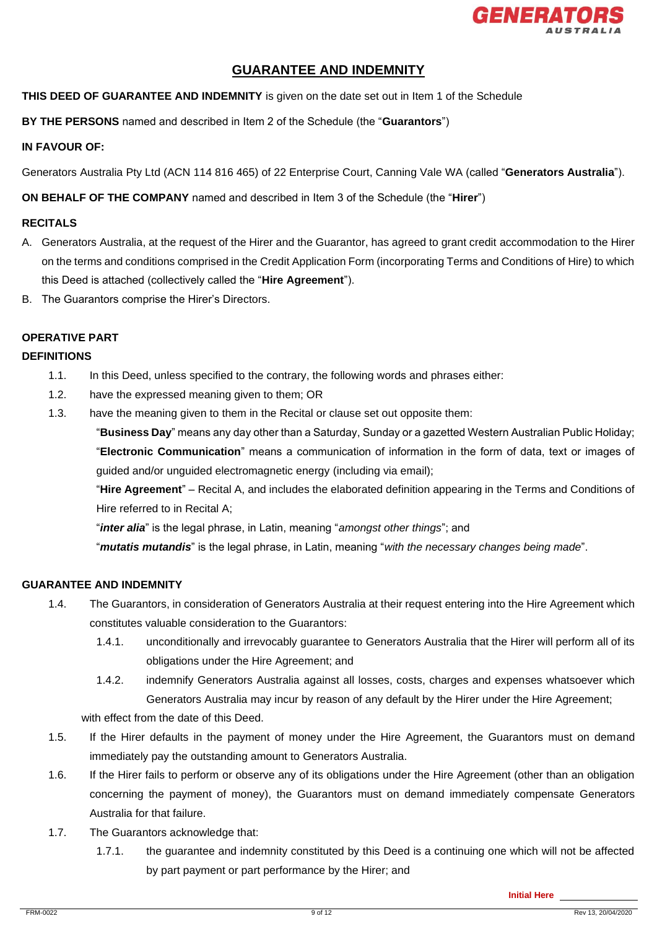

# **GUARANTEE AND INDEMNITY**

**THIS DEED OF GUARANTEE AND INDEMNITY** is given on the date set out in Item 1 of the Schedule

**BY THE PERSONS** named and described in Item 2 of the Schedule (the "**Guarantors**")

# **IN FAVOUR OF:**

Generators Australia Pty Ltd (ACN 114 816 465) of 22 Enterprise Court, Canning Vale WA (called "**Generators Australia**").

**ON BEHALF OF THE COMPANY** named and described in Item 3 of the Schedule (the "**Hirer**")

# **RECITALS**

- A. Generators Australia, at the request of the Hirer and the Guarantor, has agreed to grant credit accommodation to the Hirer on the terms and conditions comprised in the Credit Application Form (incorporating Terms and Conditions of Hire) to which this Deed is attached (collectively called the "**Hire Agreement**").
- B. The Guarantors comprise the Hirer's Directors.

# **OPERATIVE PART**

# **DEFINITIONS**

- 1.1. In this Deed, unless specified to the contrary, the following words and phrases either:
- 1.2. have the expressed meaning given to them; OR
- 1.3. have the meaning given to them in the Recital or clause set out opposite them:

"**Business Day**" means any day other than a Saturday, Sunday or a gazetted Western Australian Public Holiday; "**Electronic Communication**" means a communication of information in the form of data, text or images of guided and/or unguided electromagnetic energy (including via email);

"**Hire Agreement**" – Recital A, and includes the elaborated definition appearing in the Terms and Conditions of Hire referred to in Recital A;

"*inter alia*" is the legal phrase, in Latin, meaning "*amongst other things*"; and

"*mutatis mutandis*" is the legal phrase, in Latin, meaning "*with the necessary changes being made*".

# **GUARANTEE AND INDEMNITY**

- 1.4. The Guarantors, in consideration of Generators Australia at their request entering into the Hire Agreement which constitutes valuable consideration to the Guarantors:
	- 1.4.1. unconditionally and irrevocably guarantee to Generators Australia that the Hirer will perform all of its obligations under the Hire Agreement; and
	- 1.4.2. indemnify Generators Australia against all losses, costs, charges and expenses whatsoever which Generators Australia may incur by reason of any default by the Hirer under the Hire Agreement;

with effect from the date of this Deed.

- 1.5. If the Hirer defaults in the payment of money under the Hire Agreement, the Guarantors must on demand immediately pay the outstanding amount to Generators Australia.
- 1.6. If the Hirer fails to perform or observe any of its obligations under the Hire Agreement (other than an obligation concerning the payment of money), the Guarantors must on demand immediately compensate Generators Australia for that failure.
- 1.7. The Guarantors acknowledge that:
	- 1.7.1. the guarantee and indemnity constituted by this Deed is a continuing one which will not be affected by part payment or part performance by the Hirer; and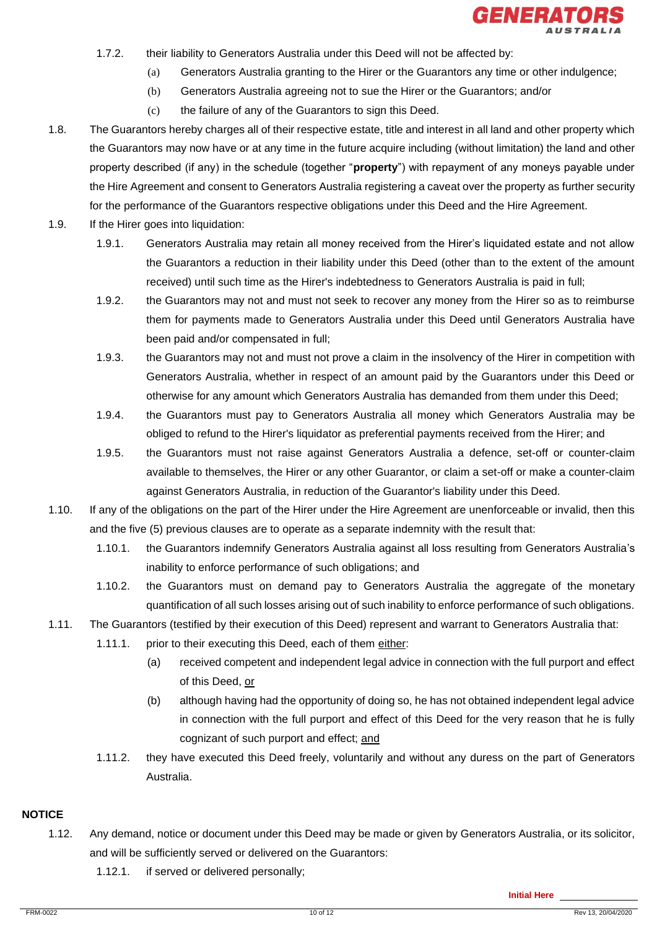

- 1.7.2. their liability to Generators Australia under this Deed will not be affected by:
	- (a) Generators Australia granting to the Hirer or the Guarantors any time or other indulgence;
		- (b) Generators Australia agreeing not to sue the Hirer or the Guarantors; and/or
		- (c) the failure of any of the Guarantors to sign this Deed.
- 1.8. The Guarantors hereby charges all of their respective estate, title and interest in all land and other property which the Guarantors may now have or at any time in the future acquire including (without limitation) the land and other property described (if any) in the schedule (together "**property**") with repayment of any moneys payable under the Hire Agreement and consent to Generators Australia registering a caveat over the property as further security for the performance of the Guarantors respective obligations under this Deed and the Hire Agreement.
- 1.9. If the Hirer goes into liquidation:
	- 1.9.1. Generators Australia may retain all money received from the Hirer's liquidated estate and not allow the Guarantors a reduction in their liability under this Deed (other than to the extent of the amount received) until such time as the Hirer's indebtedness to Generators Australia is paid in full;
	- 1.9.2. the Guarantors may not and must not seek to recover any money from the Hirer so as to reimburse them for payments made to Generators Australia under this Deed until Generators Australia have been paid and/or compensated in full;
	- 1.9.3. the Guarantors may not and must not prove a claim in the insolvency of the Hirer in competition with Generators Australia, whether in respect of an amount paid by the Guarantors under this Deed or otherwise for any amount which Generators Australia has demanded from them under this Deed;
	- 1.9.4. the Guarantors must pay to Generators Australia all money which Generators Australia may be obliged to refund to the Hirer's liquidator as preferential payments received from the Hirer; and
	- 1.9.5. the Guarantors must not raise against Generators Australia a defence, set-off or counter-claim available to themselves, the Hirer or any other Guarantor, or claim a set-off or make a counter-claim against Generators Australia, in reduction of the Guarantor's liability under this Deed.
- 1.10. If any of the obligations on the part of the Hirer under the Hire Agreement are unenforceable or invalid, then this and the five (5) previous clauses are to operate as a separate indemnity with the result that:
	- 1.10.1. the Guarantors indemnify Generators Australia against all loss resulting from Generators Australia's inability to enforce performance of such obligations; and
	- 1.10.2. the Guarantors must on demand pay to Generators Australia the aggregate of the monetary quantification of all such losses arising out of such inability to enforce performance of such obligations.
- 1.11. The Guarantors (testified by their execution of this Deed) represent and warrant to Generators Australia that:
	- 1.11.1. prior to their executing this Deed, each of them either:
		- (a) received competent and independent legal advice in connection with the full purport and effect of this Deed, or
		- (b) although having had the opportunity of doing so, he has not obtained independent legal advice in connection with the full purport and effect of this Deed for the very reason that he is fully cognizant of such purport and effect; and
	- 1.11.2. they have executed this Deed freely, voluntarily and without any duress on the part of Generators Australia.

# **NOTICE**

- 1.12. Any demand, notice or document under this Deed may be made or given by Generators Australia, or its solicitor, and will be sufficiently served or delivered on the Guarantors:
	- 1.12.1. if served or delivered personally;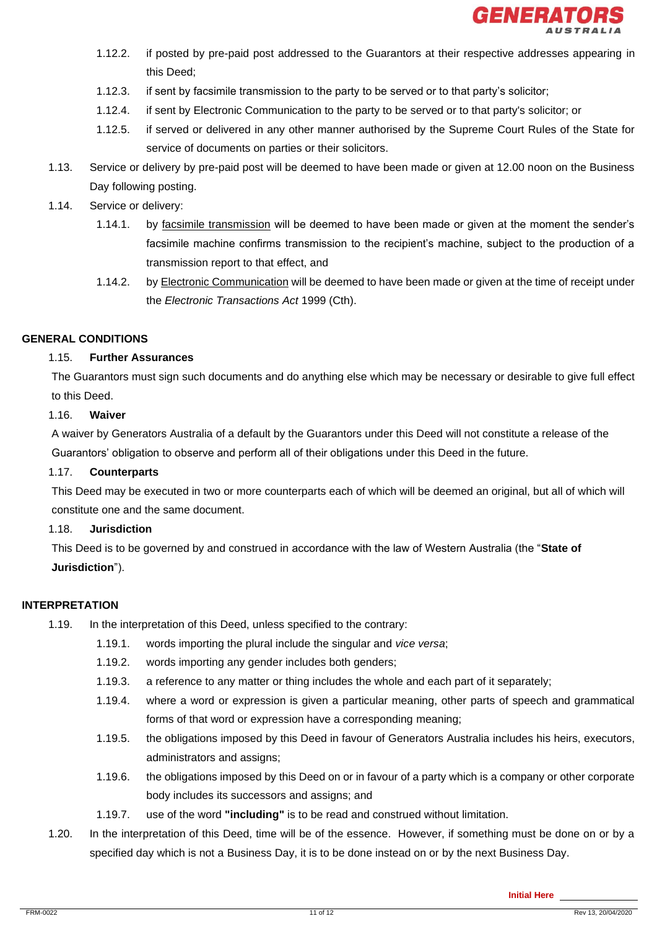

- 1.12.2. if posted by pre-paid post addressed to the Guarantors at their respective addresses appearing in this Deed;
- 1.12.3. if sent by facsimile transmission to the party to be served or to that party's solicitor;
- 1.12.4. if sent by Electronic Communication to the party to be served or to that party's solicitor; or
- 1.12.5. if served or delivered in any other manner authorised by the Supreme Court Rules of the State for service of documents on parties or their solicitors.
- 1.13. Service or delivery by pre-paid post will be deemed to have been made or given at 12.00 noon on the Business Day following posting.
- 1.14. Service or delivery:
	- 1.14.1. by facsimile transmission will be deemed to have been made or given at the moment the sender's facsimile machine confirms transmission to the recipient's machine, subject to the production of a transmission report to that effect, and
	- 1.14.2. by Electronic Communication will be deemed to have been made or given at the time of receipt under the *Electronic Transactions Act* 1999 (Cth).

# **GENERAL CONDITIONS**

# 1.15. **Further Assurances**

The Guarantors must sign such documents and do anything else which may be necessary or desirable to give full effect to this Deed.

# 1.16. **Waiver**

A waiver by Generators Australia of a default by the Guarantors under this Deed will not constitute a release of the Guarantors' obligation to observe and perform all of their obligations under this Deed in the future.

## 1.17. **Counterparts**

This Deed may be executed in two or more counterparts each of which will be deemed an original, but all of which will constitute one and the same document.

# 1.18. **Jurisdiction**

This Deed is to be governed by and construed in accordance with the law of Western Australia (the "**State of Jurisdiction**").

## **INTERPRETATION**

- 1.19. In the interpretation of this Deed, unless specified to the contrary:
	- 1.19.1. words importing the plural include the singular and *vice versa*;
	- 1.19.2. words importing any gender includes both genders;
	- 1.19.3. a reference to any matter or thing includes the whole and each part of it separately;
	- 1.19.4. where a word or expression is given a particular meaning, other parts of speech and grammatical forms of that word or expression have a corresponding meaning;
	- 1.19.5. the obligations imposed by this Deed in favour of Generators Australia includes his heirs, executors, administrators and assigns;
	- 1.19.6. the obligations imposed by this Deed on or in favour of a party which is a company or other corporate body includes its successors and assigns; and
	- 1.19.7. use of the word **"including"** is to be read and construed without limitation.
- 1.20. In the interpretation of this Deed, time will be of the essence. However, if something must be done on or by a specified day which is not a Business Day, it is to be done instead on or by the next Business Day.